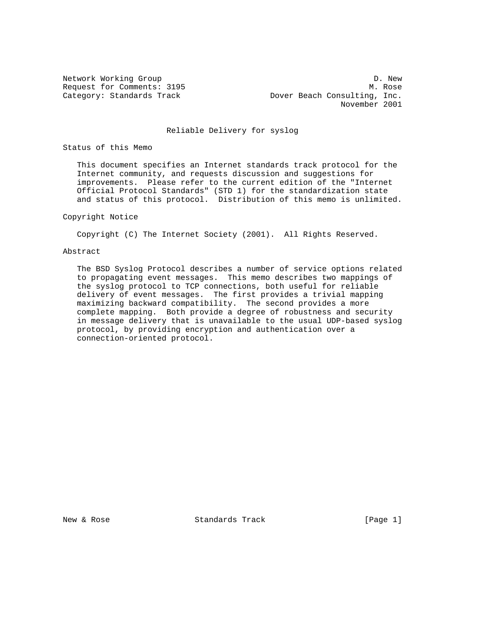Network Working Group Deck and the United States of D. New Request for Comments: 3195 M. Rose Category: Standards Track **Dover Beach Consulting, Inc.** November 2001

## Reliable Delivery for syslog

Status of this Memo

 This document specifies an Internet standards track protocol for the Internet community, and requests discussion and suggestions for improvements. Please refer to the current edition of the "Internet Official Protocol Standards" (STD 1) for the standardization state and status of this protocol. Distribution of this memo is unlimited.

# Copyright Notice

Copyright (C) The Internet Society (2001). All Rights Reserved.

## Abstract

 The BSD Syslog Protocol describes a number of service options related to propagating event messages. This memo describes two mappings of the syslog protocol to TCP connections, both useful for reliable delivery of event messages. The first provides a trivial mapping maximizing backward compatibility. The second provides a more complete mapping. Both provide a degree of robustness and security in message delivery that is unavailable to the usual UDP-based syslog protocol, by providing encryption and authentication over a connection-oriented protocol.

New & Rose Standards Track (Page 1)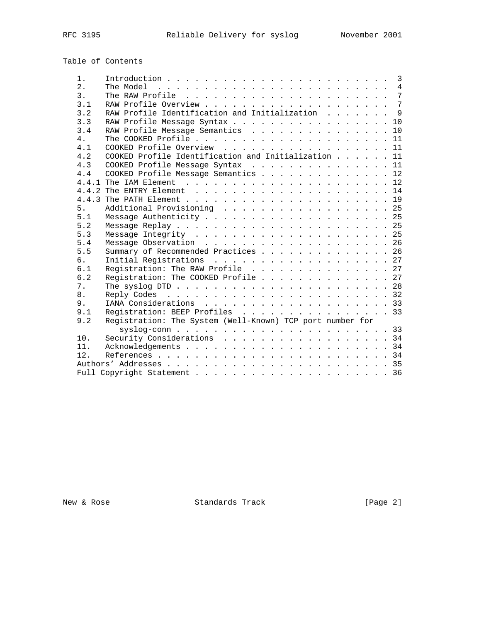syslog-conn . . . . . . . . . . . . . . . . . . . . . . . 33

6.2 Registration: The COOKED Profile . . . . . . . . . . . . . 27 7. The syslog DTD . . . . . . . . . . . . . . . . . . . . . . . 28 8. Reply Codes . . . . . . . . . . . . . . . . . . . . . . . . 32 9. IANA Considerations . . . . . . . . . . . . . . . . . . . . 33 9.1 Registration: BEEP Profiles . . . . . . . . . . . . . . . . 33 9.2 Registration: The System (Well-Known) TCP port number for

10. Security Considerations . . . . . . . . . . . . . . . . . 34 11. Acknowledgements . . . . . . . . . . . . . . . . . . . . . . 34 12. References . . . . . . . . . . . . . . . . . . . . . . . . . 34 Authors' Addresses . . . . . . . . . . . . . . . . . . . . . . . . 35 Full Copyright Statement . . . . . . . . . . . . . . . . . . . . . 36

| $1$ . |                                                     |  |  |  | $\overline{3}$ |
|-------|-----------------------------------------------------|--|--|--|----------------|
| 2.    |                                                     |  |  |  |                |
| 3.    |                                                     |  |  |  |                |
| 3.1   |                                                     |  |  |  |                |
| 3.2   | RAW Profile Identification and Initialization 9     |  |  |  |                |
| 3.3   | RAW Profile Message Syntax 10                       |  |  |  |                |
| 3.4   | RAW Profile Message Semantics 10                    |  |  |  |                |
| 4.    |                                                     |  |  |  |                |
| 4.1   | COOKED Profile Overview 11                          |  |  |  |                |
| 4.2   | COOKED Profile Identification and Initialization 11 |  |  |  |                |
| 4.3   | COOKED Profile Message Syntax $\ldots$ 11           |  |  |  |                |
| 4.4   | COOKED Profile Message Semantics 12                 |  |  |  |                |
|       |                                                     |  |  |  |                |
|       |                                                     |  |  |  |                |
| 4 4 3 |                                                     |  |  |  |                |
| 5.    | Additional Provisioning 25                          |  |  |  |                |
| 5.1   |                                                     |  |  |  |                |
| 5.2   |                                                     |  |  |  |                |
| 5.3   |                                                     |  |  |  |                |
| 5.4   |                                                     |  |  |  |                |
| 5.5   | Summary of Recommended Practices 26                 |  |  |  |                |
| 6.    | Initial Registrations 27                            |  |  |  |                |
| 6.1   | Registration: The RAW Profile 27                    |  |  |  |                |

Table of Contents

New & Rose Standards Track (Page 2)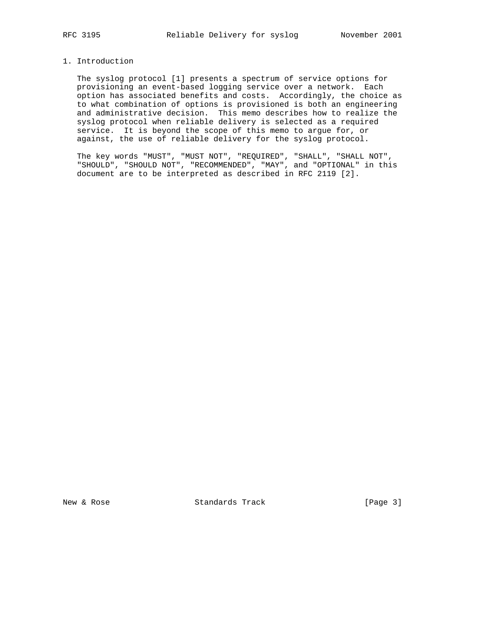# 1. Introduction

 The syslog protocol [1] presents a spectrum of service options for provisioning an event-based logging service over a network. Each option has associated benefits and costs. Accordingly, the choice as to what combination of options is provisioned is both an engineering and administrative decision. This memo describes how to realize the syslog protocol when reliable delivery is selected as a required service. It is beyond the scope of this memo to argue for, or against, the use of reliable delivery for the syslog protocol.

 The key words "MUST", "MUST NOT", "REQUIRED", "SHALL", "SHALL NOT", "SHOULD", "SHOULD NOT", "RECOMMENDED", "MAY", and "OPTIONAL" in this document are to be interpreted as described in RFC 2119 [2].

New & Rose Standards Track [Page 3]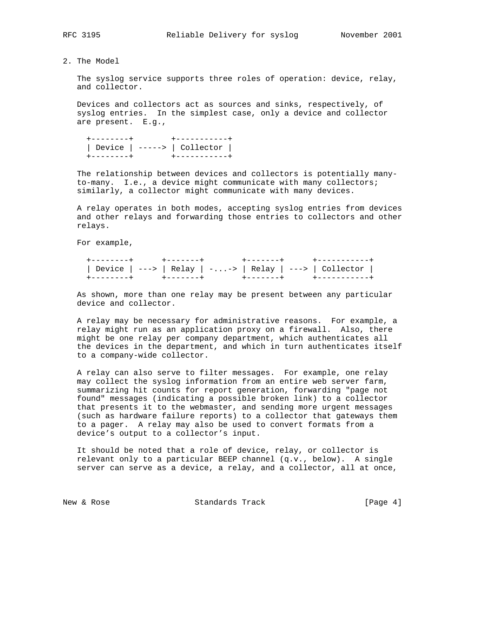2. The Model

 The syslog service supports three roles of operation: device, relay, and collector.

 Devices and collectors act as sources and sinks, respectively, of syslog entries. In the simplest case, only a device and collector are present. E.g.,

 +--------+ +-----------+ | Device | -----> | Collector | +--------+ +-----------+

 The relationship between devices and collectors is potentially many to-many. I.e., a device might communicate with many collectors; similarly, a collector might communicate with many devices.

 A relay operates in both modes, accepting syslog entries from devices and other relays and forwarding those entries to collectors and other relays.

For example,

 +--------+ +-------+ +-------+ +-----------+ | Device | ---> | Relay | -...-> | Relay | ---> | Collector | +--------+ +-------+ +-------+ +-----------+

 As shown, more than one relay may be present between any particular device and collector.

 A relay may be necessary for administrative reasons. For example, a relay might run as an application proxy on a firewall. Also, there might be one relay per company department, which authenticates all the devices in the department, and which in turn authenticates itself to a company-wide collector.

 A relay can also serve to filter messages. For example, one relay may collect the syslog information from an entire web server farm, summarizing hit counts for report generation, forwarding "page not found" messages (indicating a possible broken link) to a collector that presents it to the webmaster, and sending more urgent messages (such as hardware failure reports) to a collector that gateways them to a pager. A relay may also be used to convert formats from a device's output to a collector's input.

 It should be noted that a role of device, relay, or collector is relevant only to a particular BEEP channel  $(q.v.$ , below). A single server can serve as a device, a relay, and a collector, all at once,

New & Rose Standards Track (Page 4)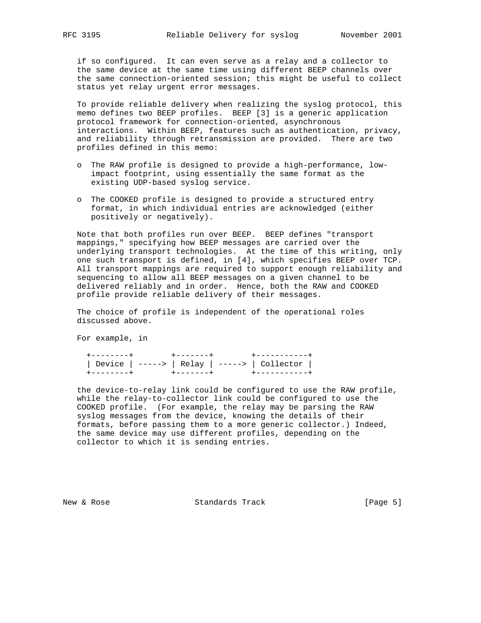if so configured. It can even serve as a relay and a collector to the same device at the same time using different BEEP channels over the same connection-oriented session; this might be useful to collect status yet relay urgent error messages.

 To provide reliable delivery when realizing the syslog protocol, this memo defines two BEEP profiles. BEEP [3] is a generic application protocol framework for connection-oriented, asynchronous interactions. Within BEEP, features such as authentication, privacy, and reliability through retransmission are provided. There are two profiles defined in this memo:

- o The RAW profile is designed to provide a high-performance, low impact footprint, using essentially the same format as the existing UDP-based syslog service.
- o The COOKED profile is designed to provide a structured entry format, in which individual entries are acknowledged (either positively or negatively).

 Note that both profiles run over BEEP. BEEP defines "transport mappings," specifying how BEEP messages are carried over the underlying transport technologies. At the time of this writing, only one such transport is defined, in [4], which specifies BEEP over TCP. All transport mappings are required to support enough reliability and sequencing to allow all BEEP messages on a given channel to be delivered reliably and in order. Hence, both the RAW and COOKED profile provide reliable delivery of their messages.

 The choice of profile is independent of the operational roles discussed above.

For example, in

 +--------+ +-------+ +-----------+ | Device | -----> | Relay | -----> | Collector | +--------+ +-------+ +-----------+

 the device-to-relay link could be configured to use the RAW profile, while the relay-to-collector link could be configured to use the COOKED profile. (For example, the relay may be parsing the RAW syslog messages from the device, knowing the details of their formats, before passing them to a more generic collector.) Indeed, the same device may use different profiles, depending on the collector to which it is sending entries.

New & Rose Standards Track (Page 5)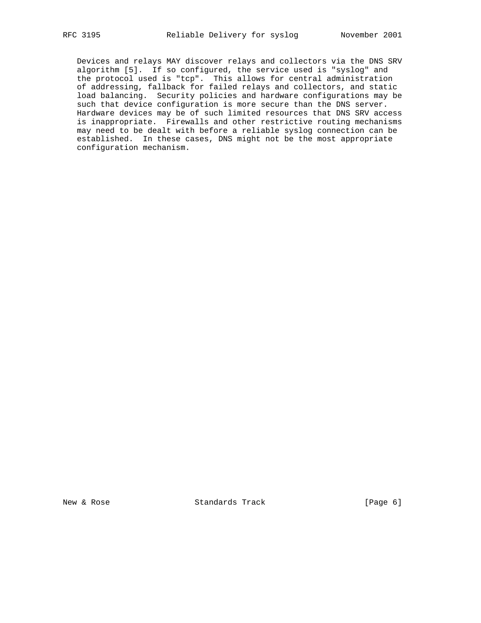Devices and relays MAY discover relays and collectors via the DNS SRV algorithm [5]. If so configured, the service used is "syslog" and the protocol used is "tcp". This allows for central administration of addressing, fallback for failed relays and collectors, and static load balancing. Security policies and hardware configurations may be such that device configuration is more secure than the DNS server. Hardware devices may be of such limited resources that DNS SRV access is inappropriate. Firewalls and other restrictive routing mechanisms may need to be dealt with before a reliable syslog connection can be established. In these cases, DNS might not be the most appropriate configuration mechanism.

New & Rose Standards Track [Page 6]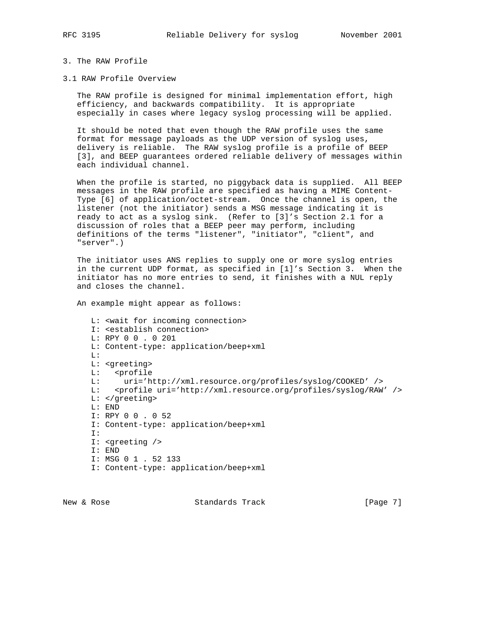## 3. The RAW Profile

3.1 RAW Profile Overview

 The RAW profile is designed for minimal implementation effort, high efficiency, and backwards compatibility. It is appropriate especially in cases where legacy syslog processing will be applied.

 It should be noted that even though the RAW profile uses the same format for message payloads as the UDP version of syslog uses, delivery is reliable. The RAW syslog profile is a profile of BEEP [3], and BEEP guarantees ordered reliable delivery of messages within each individual channel.

 When the profile is started, no piggyback data is supplied. All BEEP messages in the RAW profile are specified as having a MIME Content- Type [6] of application/octet-stream. Once the channel is open, the listener (not the initiator) sends a MSG message indicating it is ready to act as a syslog sink. (Refer to [3]'s Section 2.1 for a discussion of roles that a BEEP peer may perform, including definitions of the terms "listener", "initiator", "client", and "server".)

 The initiator uses ANS replies to supply one or more syslog entries in the current UDP format, as specified in [1]'s Section 3. When the initiator has no more entries to send, it finishes with a NUL reply and closes the channel.

An example might appear as follows:

```
 L: <wait for incoming connection>
 I: <establish connection>
 L: RPY 0 0 . 0 201
 L: Content-type: application/beep+xml
 L:
 L: <greeting>
L: <profile<br>L: uri='h
      L: uri='http://xml.resource.org/profiles/syslog/COOKED' />
 L: <profile uri='http://xml.resource.org/profiles/syslog/RAW' />
 L: </greeting>
 L: END
 I: RPY 0 0 . 0 52
 I: Content-type: application/beep+xml
 I:
 I: <greeting />
 I: END
 I: MSG 0 1 . 52 133
 I: Content-type: application/beep+xml
```
New & Rose Standards Track (Page 7)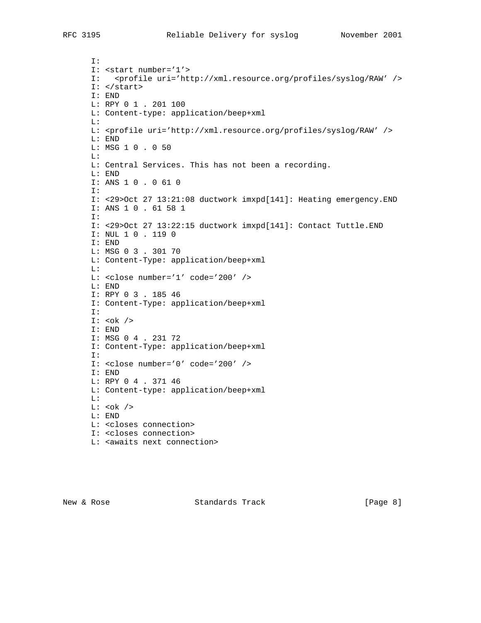I: I: <start number='1'> I: <profile uri='http://xml.resource.org/profiles/syslog/RAW' /> I: </start> I: END L: RPY 0 1 . 201 100 L: Content-type: application/beep+xml L: L: <profile uri='http://xml.resource.org/profiles/syslog/RAW' /> L: END L: MSG 1 0 . 0 50 L: L: Central Services. This has not been a recording. L: END I: ANS 1 0 . 0 61 0 I: I: <29>Oct 27 13:21:08 ductwork imxpd[141]: Heating emergency.END I: ANS 1 0 . 61 58 1 I: I: <29>Oct 27 13:22:15 ductwork imxpd[141]: Contact Tuttle.END I: NUL 1 0 . 119 0 I: END L: MSG 0 3 . 301 70 L: Content-Type: application/beep+xml  $T_{\perp}$ : L: <close number='1' code='200' /> L: END I: RPY 0 3 . 185 46 I: Content-Type: application/beep+xml I: I: <ok /> I: END I: MSG 0 4 . 231 72 I: Content-Type: application/beep+xml I: I: <close number='0' code='200' /> I: END L: RPY 0 4 . 371 46 L: Content-type: application/beep+xml L:  $L: <\!\!\circ\!\!$ k /> L: END L: <closes connection> I: <closes connection> L: <awaits next connection>

New & Rose Standards Track (Page 8)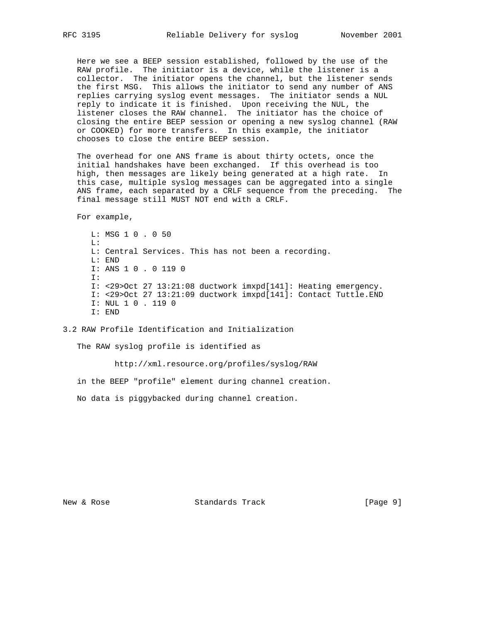Here we see a BEEP session established, followed by the use of the RAW profile. The initiator is a device, while the listener is a collector. The initiator opens the channel, but the listener sends the first MSG. This allows the initiator to send any number of ANS replies carrying syslog event messages. The initiator sends a NUL reply to indicate it is finished. Upon receiving the NUL, the listener closes the RAW channel. The initiator has the choice of closing the entire BEEP session or opening a new syslog channel (RAW or COOKED) for more transfers. In this example, the initiator chooses to close the entire BEEP session.

 The overhead for one ANS frame is about thirty octets, once the initial handshakes have been exchanged. If this overhead is too high, then messages are likely being generated at a high rate. In this case, multiple syslog messages can be aggregated into a single ANS frame, each separated by a CRLF sequence from the preceding. The final message still MUST NOT end with a CRLF.

For example,

 L: MSG 1 0 . 0 50  $T_{\perp}$ : L: Central Services. This has not been a recording. L: END I: ANS 1 0 . 0 119 0 I: I: <29>Oct 27 13:21:08 ductwork imxpd[141]: Heating emergency. I: <29>Oct 27 13:21:09 ductwork imxpd[141]: Contact Tuttle.END I: NUL 1 0 . 119 0 I: END

3.2 RAW Profile Identification and Initialization

The RAW syslog profile is identified as

http://xml.resource.org/profiles/syslog/RAW

in the BEEP "profile" element during channel creation.

No data is piggybacked during channel creation.

New & Rose Standards Track [Page 9]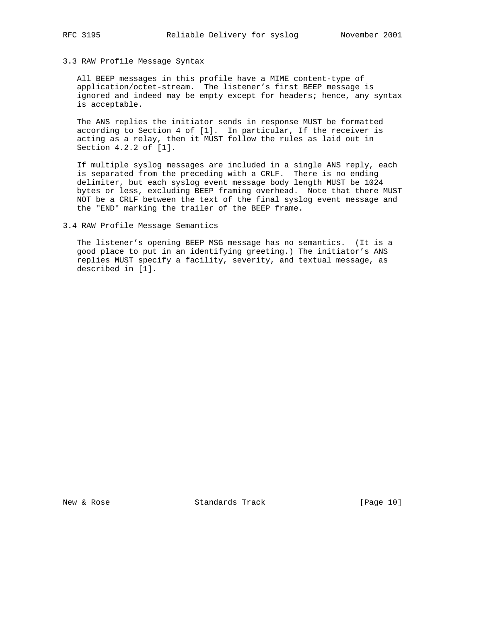# 3.3 RAW Profile Message Syntax

 All BEEP messages in this profile have a MIME content-type of application/octet-stream. The listener's first BEEP message is ignored and indeed may be empty except for headers; hence, any syntax is acceptable.

 The ANS replies the initiator sends in response MUST be formatted according to Section 4 of [1]. In particular, If the receiver is acting as a relay, then it MUST follow the rules as laid out in Section 4.2.2 of [1].

 If multiple syslog messages are included in a single ANS reply, each is separated from the preceding with a CRLF. There is no ending delimiter, but each syslog event message body length MUST be 1024 bytes or less, excluding BEEP framing overhead. Note that there MUST NOT be a CRLF between the text of the final syslog event message and the "END" marking the trailer of the BEEP frame.

3.4 RAW Profile Message Semantics

 The listener's opening BEEP MSG message has no semantics. (It is a good place to put in an identifying greeting.) The initiator's ANS replies MUST specify a facility, severity, and textual message, as described in [1].

New & Rose Standards Track [Page 10]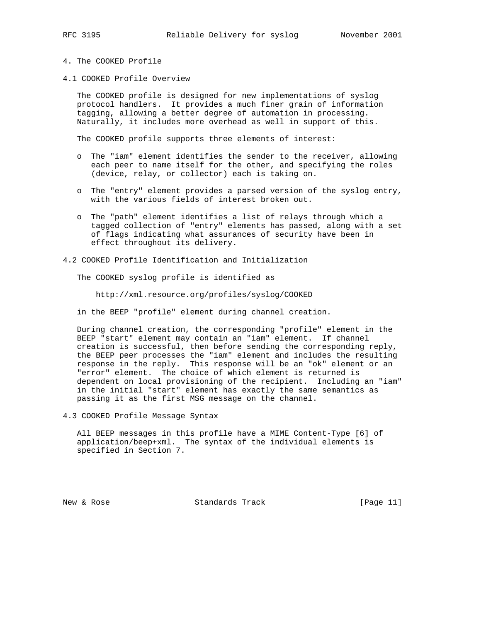- 4. The COOKED Profile
- 4.1 COOKED Profile Overview

 The COOKED profile is designed for new implementations of syslog protocol handlers. It provides a much finer grain of information tagging, allowing a better degree of automation in processing. Naturally, it includes more overhead as well in support of this.

The COOKED profile supports three elements of interest:

- o The "iam" element identifies the sender to the receiver, allowing each peer to name itself for the other, and specifying the roles (device, relay, or collector) each is taking on.
- o The "entry" element provides a parsed version of the syslog entry, with the various fields of interest broken out.
- o The "path" element identifies a list of relays through which a tagged collection of "entry" elements has passed, along with a set of flags indicating what assurances of security have been in effect throughout its delivery.

## 4.2 COOKED Profile Identification and Initialization

The COOKED syslog profile is identified as

http://xml.resource.org/profiles/syslog/COOKED

in the BEEP "profile" element during channel creation.

 During channel creation, the corresponding "profile" element in the BEEP "start" element may contain an "iam" element. If channel creation is successful, then before sending the corresponding reply, the BEEP peer processes the "iam" element and includes the resulting response in the reply. This response will be an "ok" element or an "error" element. The choice of which element is returned is dependent on local provisioning of the recipient. Including an "iam" in the initial "start" element has exactly the same semantics as passing it as the first MSG message on the channel.

4.3 COOKED Profile Message Syntax

 All BEEP messages in this profile have a MIME Content-Type [6] of application/beep+xml. The syntax of the individual elements is specified in Section 7.

New & Rose Standards Track [Page 11]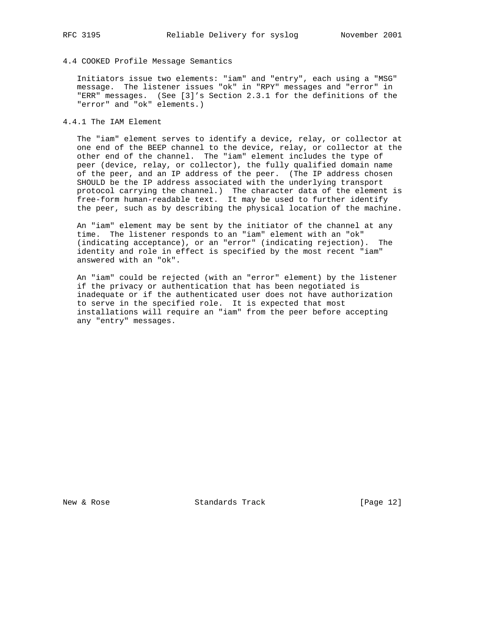## 4.4 COOKED Profile Message Semantics

 Initiators issue two elements: "iam" and "entry", each using a "MSG" message. The listener issues "ok" in "RPY" messages and "error" in "ERR" messages. (See [3]'s Section 2.3.1 for the definitions of the "error" and "ok" elements.)

## 4.4.1 The IAM Element

 The "iam" element serves to identify a device, relay, or collector at one end of the BEEP channel to the device, relay, or collector at the other end of the channel. The "iam" element includes the type of peer (device, relay, or collector), the fully qualified domain name of the peer, and an IP address of the peer. (The IP address chosen SHOULD be the IP address associated with the underlying transport protocol carrying the channel.) The character data of the element is free-form human-readable text. It may be used to further identify the peer, such as by describing the physical location of the machine.

 An "iam" element may be sent by the initiator of the channel at any time. The listener responds to an "iam" element with an "ok" (indicating acceptance), or an "error" (indicating rejection). The identity and role in effect is specified by the most recent "iam" answered with an "ok".

 An "iam" could be rejected (with an "error" element) by the listener if the privacy or authentication that has been negotiated is inadequate or if the authenticated user does not have authorization to serve in the specified role. It is expected that most installations will require an "iam" from the peer before accepting any "entry" messages.

New & Rose Standards Track [Page 12]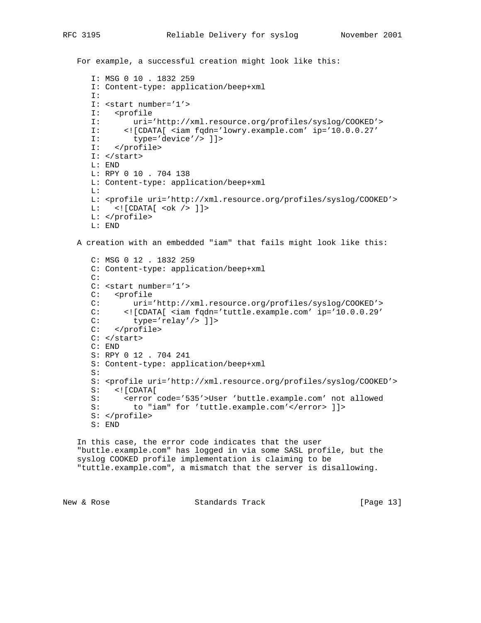```
 For example, a successful creation might look like this:
```

```
 I: MSG 0 10 . 1832 259
 I: Content-type: application/beep+xml
 I:
 I: <start number='1'>
 I: <profile
 I: uri='http://xml.resource.org/profiles/syslog/COOKED'>
 I: <![CDATA[ <iam fqdn='lowry.example.com' ip='10.0.0.27'
 I: type='device'/> ]]>
 I: </profile>
 I: </start>
 L: END
 L: RPY 0 10 . 704 138
 L: Content-type: application/beep+xml
T_{\perp}:
 L: <profile uri='http://xml.resource.org/profiles/syslog/COOKED'>
 L: <![CDATA[ <ok /> ]]>
 L: </profile>
 L: END
```
A creation with an embedded "iam" that fails might look like this:

```
 C: MSG 0 12 . 1832 259
 C: Content-type: application/beep+xml
 C:
 C: <start number='1'>
C: <profile
 C: uri='http://xml.resource.org/profiles/syslog/COOKED'>
 C: <![CDATA[ <iam fqdn='tuttle.example.com' ip='10.0.0.29'
 C: type='relay'/> ]]>
 C: </profile>
C: </start>
 C: END
 S: RPY 0 12 . 704 241
 S: Content-type: application/beep+xml
 S:
 S: <profile uri='http://xml.resource.org/profiles/syslog/COOKED'>
 S: <![CDATA[
S: <error code='535'>User 'buttle.example.com' not allowed<br>S: to "iam" for 'tuttle.example.com'</error> ]]>
         to "iam" for 'tuttle.example.com'</error> ]]>
 S: </profile>
 S: END
```
 In this case, the error code indicates that the user "buttle.example.com" has logged in via some SASL profile, but the syslog COOKED profile implementation is claiming to be "tuttle.example.com", a mismatch that the server is disallowing.

```
New & Rose Standards Track [Page 13]
```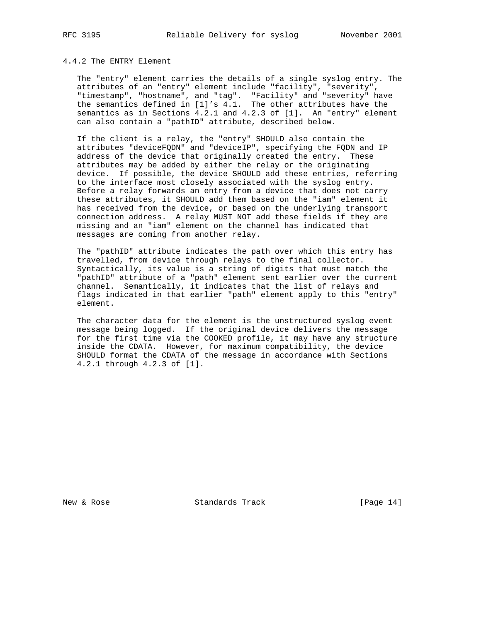### 4.4.2 The ENTRY Element

 The "entry" element carries the details of a single syslog entry. The attributes of an "entry" element include "facility", "severity", "timestamp", "hostname", and "tag". "Facility" and "severity" have the semantics defined in [1]'s 4.1. The other attributes have the semantics as in Sections 4.2.1 and 4.2.3 of [1]. An "entry" element can also contain a "pathID" attribute, described below.

 If the client is a relay, the "entry" SHOULD also contain the attributes "deviceFQDN" and "deviceIP", specifying the FQDN and IP address of the device that originally created the entry. These attributes may be added by either the relay or the originating device. If possible, the device SHOULD add these entries, referring to the interface most closely associated with the syslog entry. Before a relay forwards an entry from a device that does not carry these attributes, it SHOULD add them based on the "iam" element it has received from the device, or based on the underlying transport connection address. A relay MUST NOT add these fields if they are missing and an "iam" element on the channel has indicated that messages are coming from another relay.

 The "pathID" attribute indicates the path over which this entry has travelled, from device through relays to the final collector. Syntactically, its value is a string of digits that must match the "pathID" attribute of a "path" element sent earlier over the current channel. Semantically, it indicates that the list of relays and flags indicated in that earlier "path" element apply to this "entry" element.

 The character data for the element is the unstructured syslog event message being logged. If the original device delivers the message for the first time via the COOKED profile, it may have any structure inside the CDATA. However, for maximum compatibility, the device SHOULD format the CDATA of the message in accordance with Sections 4.2.1 through 4.2.3 of [1].

New & Rose Standards Track [Page 14]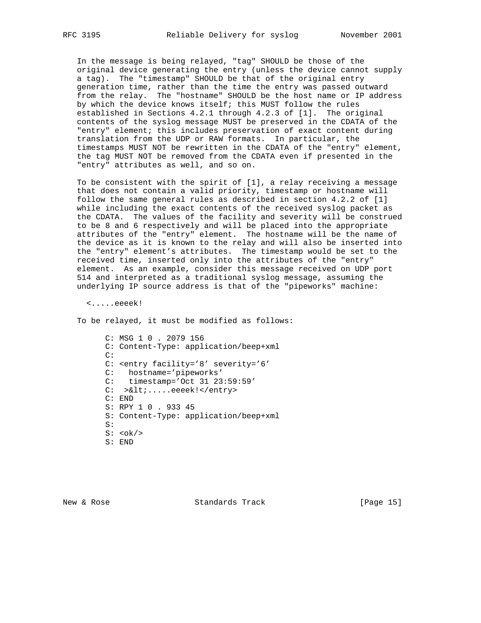In the message is being relayed, "tag" SHOULD be those of the original device generating the entry (unless the device cannot supply a tag). The "timestamp" SHOULD be that of the original entry generation time, rather than the time the entry was passed outward from the relay. The "hostname" SHOULD be the host name or IP address by which the device knows itself; this MUST follow the rules established in Sections 4.2.1 through 4.2.3 of [1]. The original contents of the syslog message MUST be preserved in the CDATA of the "entry" element; this includes preservation of exact content during translation from the UDP or RAW formats. In particular, the timestamps MUST NOT be rewritten in the CDATA of the "entry" element, the tag MUST NOT be removed from the CDATA even if presented in the "entry" attributes as well, and so on.

 To be consistent with the spirit of [1], a relay receiving a message that does not contain a valid priority, timestamp or hostname will follow the same general rules as described in section 4.2.2 of [1] while including the exact contents of the received syslog packet as the CDATA. The values of the facility and severity will be construed to be 8 and 6 respectively and will be placed into the appropriate attributes of the "entry" element. The hostname will be the name of the device as it is known to the relay and will also be inserted into the "entry" element's attributes. The timestamp would be set to the received time, inserted only into the attributes of the "entry" element. As an example, consider this message received on UDP port 514 and interpreted as a traditional syslog message, assuming the underlying IP source address is that of the "pipeworks" machine:

<.....eeeek!

To be relayed, it must be modified as follows:

 C: MSG 1 0 . 2079 156 C: Content-Type: application/beep+xml C: C: <entry facility='8' severity='6' C: hostname='pipeworks' C: timestamp='Oct 31 23:59:59' C: ><.....eeeek!</entry> C: END S: RPY 1 0 . 933 45 S: Content-Type: application/beep+xml S:  $S: <\n**ok**/\n**>**$ S: END

New & Rose Standards Track [Page 15]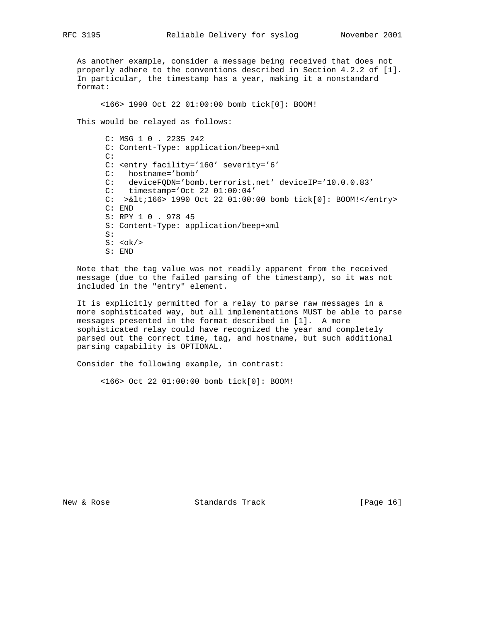As another example, consider a message being received that does not properly adhere to the conventions described in Section 4.2.2 of [1]. In particular, the timestamp has a year, making it a nonstandard format:

<166> 1990 Oct 22 01:00:00 bomb tick[0]: BOOM!

This would be relayed as follows:

 C: MSG 1 0 . 2235 242 C: Content-Type: application/beep+xml C: C: <entry facility='160' severity='6' C: hostname='bomb' C: deviceFQDN='bomb.terrorist.net' deviceIP='10.0.0.83' C: timestamp='Oct 22 01:00:04' C: >&lt;166> 1990 Oct 22 01:00:00 bomb tick[0]: BOOM!</entry> C: END S: RPY 1 0 . 978 45 S: Content-Type: application/beep+xml S:  $S: <\mathrm{ok}$ /> S: END

 Note that the tag value was not readily apparent from the received message (due to the failed parsing of the timestamp), so it was not included in the "entry" element.

 It is explicitly permitted for a relay to parse raw messages in a more sophisticated way, but all implementations MUST be able to parse messages presented in the format described in [1]. A more sophisticated relay could have recognized the year and completely parsed out the correct time, tag, and hostname, but such additional parsing capability is OPTIONAL.

Consider the following example, in contrast:

<166> Oct 22 01:00:00 bomb tick[0]: BOOM!

New & Rose Standards Track [Page 16]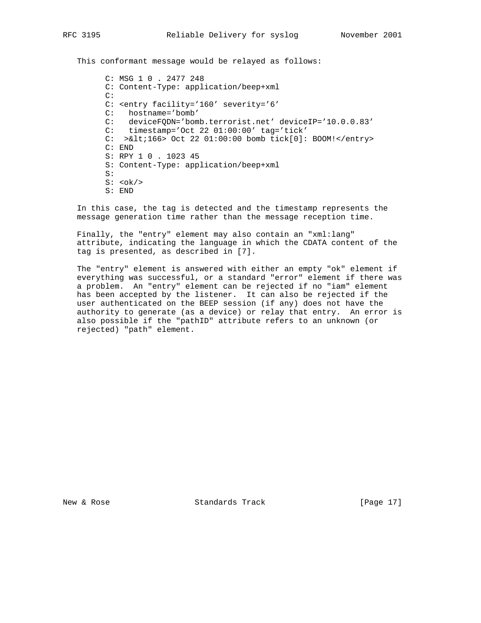This conformant message would be relayed as follows:

 C: MSG 1 0 . 2477 248 C: Content-Type: application/beep+xml C: C: <entry facility='160' severity='6' C: hostname='bomb' C: deviceFQDN='bomb.terrorist.net' deviceIP='10.0.0.83' C: timestamp='Oct 22 01:00:00' tag='tick' C: >&lt;166> Oct 22 01:00:00 bomb tick[0]: BOOM!</entry> C: END S: RPY 1 0 . 1023 45 S: Content-Type: application/beep+xml S:  $S: <\!\!ok\!>$ S: END

 In this case, the tag is detected and the timestamp represents the message generation time rather than the message reception time.

 Finally, the "entry" element may also contain an "xml:lang" attribute, indicating the language in which the CDATA content of the tag is presented, as described in [7].

 The "entry" element is answered with either an empty "ok" element if everything was successful, or a standard "error" element if there was a problem. An "entry" element can be rejected if no "iam" element has been accepted by the listener. It can also be rejected if the user authenticated on the BEEP session (if any) does not have the authority to generate (as a device) or relay that entry. An error is also possible if the "pathID" attribute refers to an unknown (or rejected) "path" element.

New & Rose Standards Track [Page 17]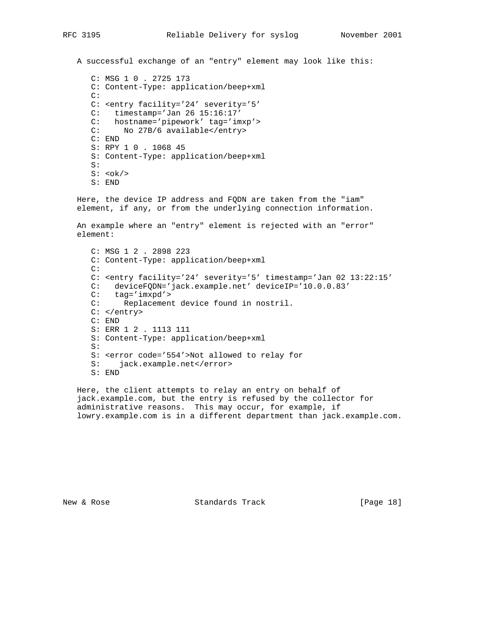A successful exchange of an "entry" element may look like this:

 C: MSG 1 0 . 2725 173 C: Content-Type: application/beep+xml C: C: <entry facility='24' severity='5' C: timestamp='Jan 26 15:16:17' C: hostname='pipework' tag='imxp'> C: No 27B/6 available</entry> C: END S: RPY 1 0 . 1068 45 S: Content-Type: application/beep+xml S:  $S: <\n**ok**/\n**>**$ S: END

 Here, the device IP address and FQDN are taken from the "iam" element, if any, or from the underlying connection information.

 An example where an "entry" element is rejected with an "error" element:

 C: MSG 1 2 . 2898 223 C: Content-Type: application/beep+xml C: C: <entry facility='24' severity='5' timestamp='Jan 02 13:22:15' C: deviceFQDN='jack.example.net' deviceIP='10.0.0.83' C: tag='imxpd'><br>C: Replacemen Replacement device found in nostril. C: </entry> C: END S: ERR 1 2 . 1113 111 S: Content-Type: application/beep+xml S: S: <error code='554'>Not allowed to relay for S: jack.example.net</error> S: END

 Here, the client attempts to relay an entry on behalf of jack.example.com, but the entry is refused by the collector for administrative reasons. This may occur, for example, if lowry.example.com is in a different department than jack.example.com.

New & Rose Standards Track [Page 18]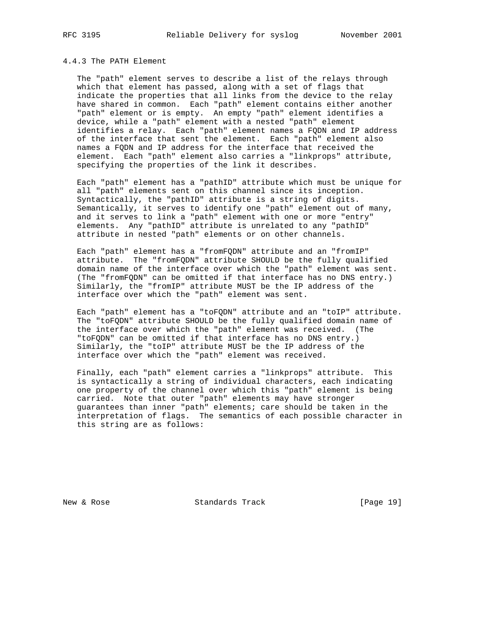## 4.4.3 The PATH Element

 The "path" element serves to describe a list of the relays through which that element has passed, along with a set of flags that indicate the properties that all links from the device to the relay have shared in common. Each "path" element contains either another "path" element or is empty. An empty "path" element identifies a device, while a "path" element with a nested "path" element identifies a relay. Each "path" element names a FQDN and IP address of the interface that sent the element. Each "path" element also names a FQDN and IP address for the interface that received the element. Each "path" element also carries a "linkprops" attribute, specifying the properties of the link it describes.

 Each "path" element has a "pathID" attribute which must be unique for all "path" elements sent on this channel since its inception. Syntactically, the "pathID" attribute is a string of digits. Semantically, it serves to identify one "path" element out of many, and it serves to link a "path" element with one or more "entry" elements. Any "pathID" attribute is unrelated to any "pathID" attribute in nested "path" elements or on other channels.

 Each "path" element has a "fromFQDN" attribute and an "fromIP" attribute. The "fromFQDN" attribute SHOULD be the fully qualified domain name of the interface over which the "path" element was sent. (The "fromFQDN" can be omitted if that interface has no DNS entry.) Similarly, the "fromIP" attribute MUST be the IP address of the interface over which the "path" element was sent.

 Each "path" element has a "toFQDN" attribute and an "toIP" attribute. The "toFQDN" attribute SHOULD be the fully qualified domain name of the interface over which the "path" element was received. (The "toFQDN" can be omitted if that interface has no DNS entry.) Similarly, the "toIP" attribute MUST be the IP address of the interface over which the "path" element was received.

 Finally, each "path" element carries a "linkprops" attribute. This is syntactically a string of individual characters, each indicating one property of the channel over which this "path" element is being carried. Note that outer "path" elements may have stronger guarantees than inner "path" elements; care should be taken in the interpretation of flags. The semantics of each possible character in this string are as follows:

New & Rose Standards Track [Page 19]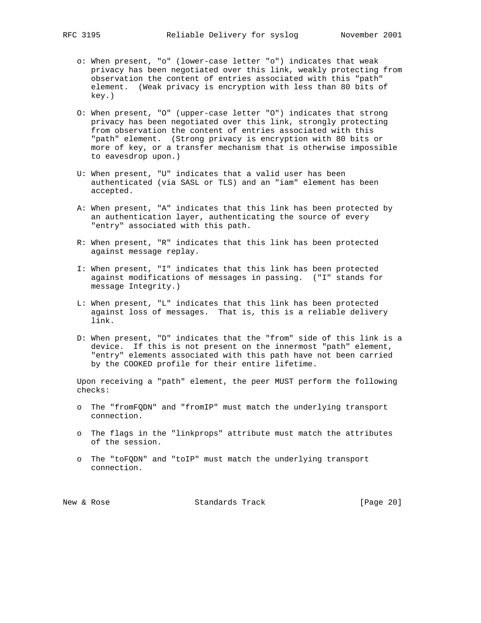- o: When present, "o" (lower-case letter "o") indicates that weak privacy has been negotiated over this link, weakly protecting from observation the content of entries associated with this "path" element. (Weak privacy is encryption with less than 80 bits of key.)
- O: When present, "O" (upper-case letter "O") indicates that strong privacy has been negotiated over this link, strongly protecting from observation the content of entries associated with this "path" element. (Strong privacy is encryption with 80 bits or more of key, or a transfer mechanism that is otherwise impossible to eavesdrop upon.)
- U: When present, "U" indicates that a valid user has been authenticated (via SASL or TLS) and an "iam" element has been accepted.
- A: When present, "A" indicates that this link has been protected by an authentication layer, authenticating the source of every "entry" associated with this path.
- R: When present, "R" indicates that this link has been protected against message replay.
- I: When present, "I" indicates that this link has been protected against modifications of messages in passing. ("I" stands for message Integrity.)
- L: When present, "L" indicates that this link has been protected against loss of messages. That is, this is a reliable delivery link.
- D: When present, "D" indicates that the "from" side of this link is a device. If this is not present on the innermost "path" element, "entry" elements associated with this path have not been carried by the COOKED profile for their entire lifetime.

 Upon receiving a "path" element, the peer MUST perform the following checks:

- o The "fromFQDN" and "fromIP" must match the underlying transport connection.
- o The flags in the "linkprops" attribute must match the attributes of the session.
- o The "toFQDN" and "toIP" must match the underlying transport connection.

New & Rose Standards Track [Page 20]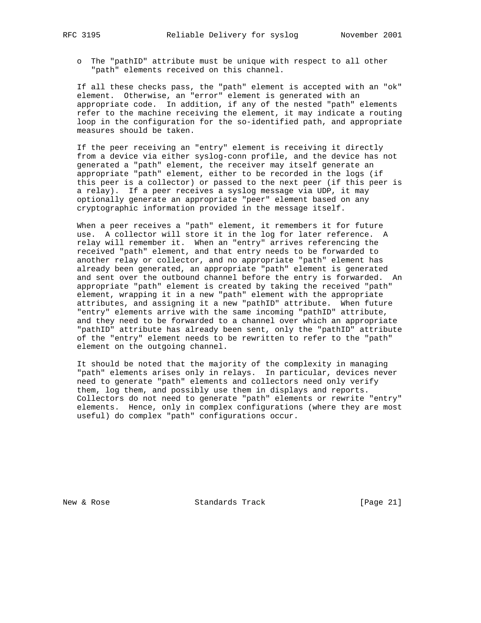o The "pathID" attribute must be unique with respect to all other "path" elements received on this channel.

 If all these checks pass, the "path" element is accepted with an "ok" element. Otherwise, an "error" element is generated with an appropriate code. In addition, if any of the nested "path" elements refer to the machine receiving the element, it may indicate a routing loop in the configuration for the so-identified path, and appropriate measures should be taken.

 If the peer receiving an "entry" element is receiving it directly from a device via either syslog-conn profile, and the device has not generated a "path" element, the receiver may itself generate an appropriate "path" element, either to be recorded in the logs (if this peer is a collector) or passed to the next peer (if this peer is a relay). If a peer receives a syslog message via UDP, it may optionally generate an appropriate "peer" element based on any cryptographic information provided in the message itself.

 When a peer receives a "path" element, it remembers it for future use. A collector will store it in the log for later reference. A relay will remember it. When an "entry" arrives referencing the received "path" element, and that entry needs to be forwarded to another relay or collector, and no appropriate "path" element has already been generated, an appropriate "path" element is generated and sent over the outbound channel before the entry is forwarded. An appropriate "path" element is created by taking the received "path" element, wrapping it in a new "path" element with the appropriate attributes, and assigning it a new "pathID" attribute. When future "entry" elements arrive with the same incoming "pathID" attribute, and they need to be forwarded to a channel over which an appropriate "pathID" attribute has already been sent, only the "pathID" attribute of the "entry" element needs to be rewritten to refer to the "path" element on the outgoing channel.

 It should be noted that the majority of the complexity in managing "path" elements arises only in relays. In particular, devices never need to generate "path" elements and collectors need only verify them, log them, and possibly use them in displays and reports. Collectors do not need to generate "path" elements or rewrite "entry" elements. Hence, only in complex configurations (where they are most useful) do complex "path" configurations occur.

New & Rose Standards Track [Page 21]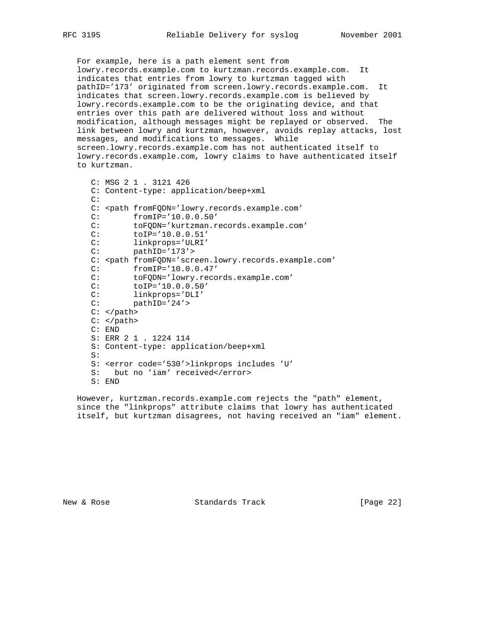For example, here is a path element sent from lowry.records.example.com to kurtzman.records.example.com. It indicates that entries from lowry to kurtzman tagged with pathID='173' originated from screen.lowry.records.example.com. It indicates that screen.lowry.records.example.com is believed by lowry.records.example.com to be the originating device, and that entries over this path are delivered without loss and without modification, although messages might be replayed or observed. The link between lowry and kurtzman, however, avoids replay attacks, lost messages, and modifications to messages. While screen.lowry.records.example.com has not authenticated itself to lowry.records.example.com, lowry claims to have authenticated itself to kurtzman.

```
 C: MSG 2 1 . 3121 426
      C: Content-type: application/beep+xml
      C:
      C: <path fromFQDN='lowry.records.example.com'
      C: fromIP='10.0.0.50'
      C: toFQDN='kurtzman.records.example.com'
      C: toIP='10.0.0.51'
     C: linkprops='ULRI'<br>C: pathID='173'>
             pathID='173'>
      C: <path fromFQDN='screen.lowry.records.example.com'
     C: fromIP='10.0.0.47'<br>C: toFQDN='lowry.reco
     C: toFQDN='lowry.records.example.com'<br>C: toIP='10.0.0.50'
              C: toIP='10.0.0.50'
 C: linkprops='DLI'
 C: pathID='24'>
     C: </path>
     C: </path>
      C: END
      S: ERR 2 1 . 1224 114
      S: Content-type: application/beep+xml
      S:
      S: <error code='530'>linkprops includes 'U'
     S: but no 'iam' received</error>
      S: END
```
 However, kurtzman.records.example.com rejects the "path" element, since the "linkprops" attribute claims that lowry has authenticated itself, but kurtzman disagrees, not having received an "iam" element.

New & Rose Standards Track [Page 22]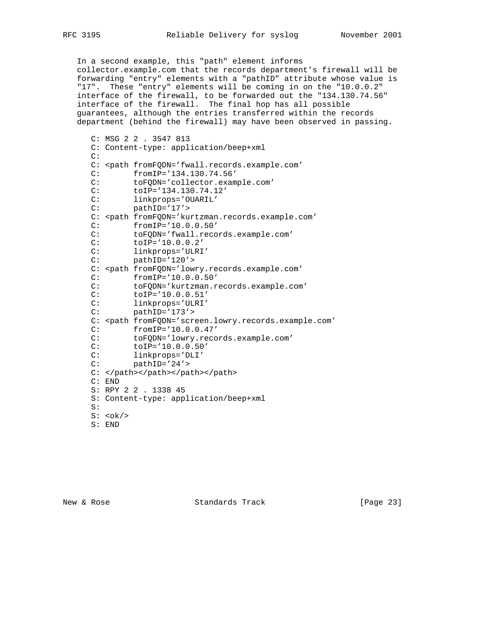In a second example, this "path" element informs collector.example.com that the records department's firewall will be forwarding "entry" elements with a "pathID" attribute whose value is "17". These "entry" elements will be coming in on the "10.0.0.2" interface of the firewall, to be forwarded out the "134.130.74.56" interface of the firewall. The final hop has all possible guarantees, although the entries transferred within the records department (behind the firewall) may have been observed in passing.

```
 C: MSG 2 2 . 3547 813
 C: Content-type: application/beep+xml
C:
 C: <path fromFQDN='fwall.records.example.com'
 C: fromIP='134.130.74.56'
 C: toFQDN='collector.example.com'
 C: toIP='134.130.74.12'
C: linkprops='OUARIL'<br>C: pathID='17'>
        C: pathID='17'>
C: <path fromFQDN='kurtzman.records.example.com'
 C: fromIP='10.0.0.50'
 C: toFQDN='fwall.records.example.com'
 C: toIP='10.0.0.2'
 C: linkprops='ULRI'
 C: pathID='120'>
 C: <path fromFQDN='lowry.records.example.com'
 C: fromIP='10.0.0.50'
 C: toFQDN='kurtzman.records.example.com'
C: toIP='10.0.0.51'<br>C: linkprops='ULRI'
C: linkprops='ULRI'<br>C: pathID='173'>
       pathID='173'>
C: <path fromFQDN='screen.lowry.records.example.com'
 C: fromIP='10.0.0.47'
 C: toFQDN='lowry.records.example.com'
 C: toIP='10.0.0.50'
 C: linkprops='DLI'
 C: pathID='24'>
 C: </path></path></path></path>
 C: END
 S: RPY 2 2 . 1338 45
 S: Content-type: application/beep+xml
 S:
S: <\circ k S: END
```
New & Rose Standards Track [Page 23]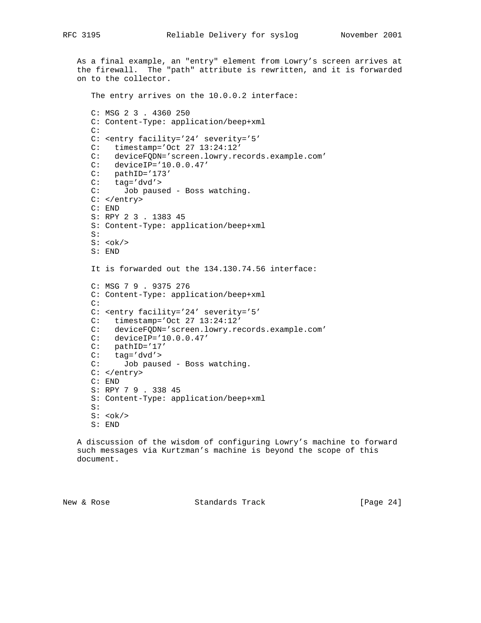As a final example, an "entry" element from Lowry's screen arrives at the firewall. The "path" attribute is rewritten, and it is forwarded on to the collector. The entry arrives on the 10.0.0.2 interface: C: MSG 2 3 . 4360 250 C: Content-Type: application/beep+xml C: C: <entry facility='24' severity='5' C: timestamp='Oct 27 13:24:12' C: deviceFQDN='screen.lowry.records.example.com' C: deviceIP='10.0.0.47' C: pathID='173'  $C: tag='dvd'$  C: Job paused - Boss watching. C: </entry> C: END S: RPY 2 3 . 1383 45 S: Content-Type: application/beep+xml S:  $S: <\mathrm{ok}$ /> S: END It is forwarded out the 134.130.74.56 interface: C: MSG 7 9 . 9375 276 C: Content-Type: application/beep+xml C: C: <entry facility='24' severity='5' C: timestamp='Oct 27 13:24:12' C: deviceFQDN='screen.lowry.records.example.com' C: deviceIP='10.0.0.47' C: pathID='17' C: tag='dvd'> C: Job paused - Boss watching. C: </entry> C: END S: RPY 7 9 . 338 45 S: Content-Type: application/beep+xml S:  $S: <\circ k$ S: END

 A discussion of the wisdom of configuring Lowry's machine to forward such messages via Kurtzman's machine is beyond the scope of this document.

New & Rose Standards Track [Page 24]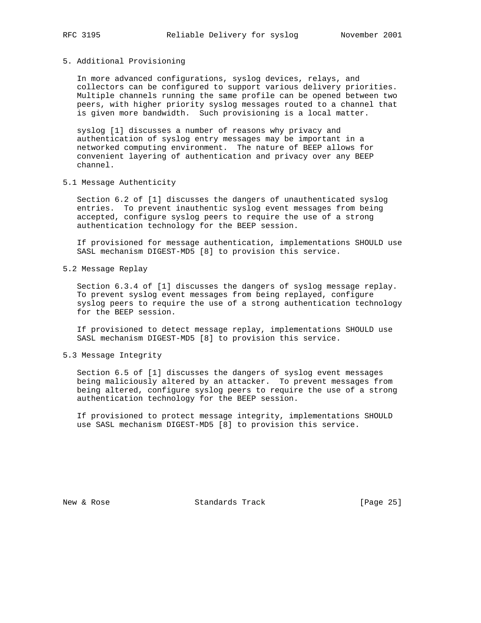## 5. Additional Provisioning

 In more advanced configurations, syslog devices, relays, and collectors can be configured to support various delivery priorities. Multiple channels running the same profile can be opened between two peers, with higher priority syslog messages routed to a channel that is given more bandwidth. Such provisioning is a local matter.

 syslog [1] discusses a number of reasons why privacy and authentication of syslog entry messages may be important in a networked computing environment. The nature of BEEP allows for convenient layering of authentication and privacy over any BEEP channel.

5.1 Message Authenticity

 Section 6.2 of [1] discusses the dangers of unauthenticated syslog entries. To prevent inauthentic syslog event messages from being accepted, configure syslog peers to require the use of a strong authentication technology for the BEEP session.

 If provisioned for message authentication, implementations SHOULD use SASL mechanism DIGEST-MD5 [8] to provision this service.

5.2 Message Replay

 Section 6.3.4 of [1] discusses the dangers of syslog message replay. To prevent syslog event messages from being replayed, configure syslog peers to require the use of a strong authentication technology for the BEEP session.

 If provisioned to detect message replay, implementations SHOULD use SASL mechanism DIGEST-MD5 [8] to provision this service.

5.3 Message Integrity

 Section 6.5 of [1] discusses the dangers of syslog event messages being maliciously altered by an attacker. To prevent messages from being altered, configure syslog peers to require the use of a strong authentication technology for the BEEP session.

 If provisioned to protect message integrity, implementations SHOULD use SASL mechanism DIGEST-MD5 [8] to provision this service.

New & Rose Standards Track [Page 25]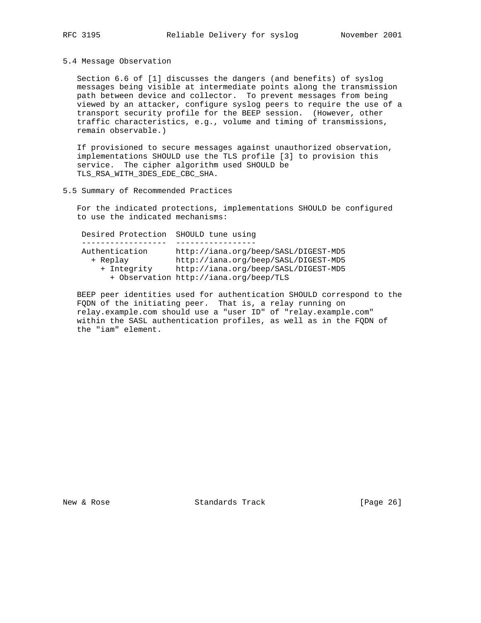## 5.4 Message Observation

 Section 6.6 of [1] discusses the dangers (and benefits) of syslog messages being visible at intermediate points along the transmission path between device and collector. To prevent messages from being viewed by an attacker, configure syslog peers to require the use of a transport security profile for the BEEP session. (However, other traffic characteristics, e.g., volume and timing of transmissions, remain observable.)

 If provisioned to secure messages against unauthorized observation, implementations SHOULD use the TLS profile [3] to provision this service. The cipher algorithm used SHOULD be TLS\_RSA\_WITH\_3DES\_EDE\_CBC\_SHA.

## 5.5 Summary of Recommended Practices

 For the indicated protections, implementations SHOULD be configured to use the indicated mechanisms:

| Desired Protection SHOULD tune using |                                        |
|--------------------------------------|----------------------------------------|
|                                      |                                        |
| Authentication                       | http://iana.org/beep/SASL/DIGEST-MD5   |
| + Replay                             | http://iana.org/beep/SASL/DIGEST-MD5   |
| + Integrity                          | http://iana.org/beep/SASL/DIGEST-MD5   |
|                                      | + Observation http://iana.org/beep/TLS |

 BEEP peer identities used for authentication SHOULD correspond to the FQDN of the initiating peer. That is, a relay running on relay.example.com should use a "user ID" of "relay.example.com" within the SASL authentication profiles, as well as in the FQDN of the "iam" element.

New & Rose Standards Track [Page 26]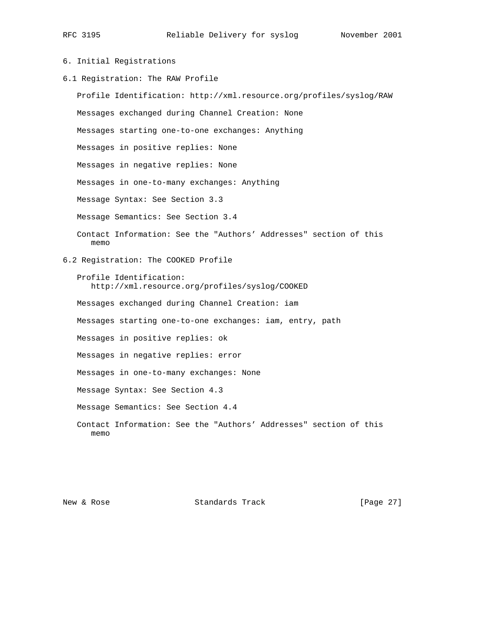# 6. Initial Registrations

6.1 Registration: The RAW Profile

 Profile Identification: http://xml.resource.org/profiles/syslog/RAW Messages exchanged during Channel Creation: None Messages starting one-to-one exchanges: Anything Messages in positive replies: None Messages in negative replies: None Messages in one-to-many exchanges: Anything Message Syntax: See Section 3.3 Message Semantics: See Section 3.4 Contact Information: See the "Authors' Addresses" section of this memo 6.2 Registration: The COOKED Profile Profile Identification: http://xml.resource.org/profiles/syslog/COOKED Messages exchanged during Channel Creation: iam Messages starting one-to-one exchanges: iam, entry, path Messages in positive replies: ok Messages in negative replies: error Messages in one-to-many exchanges: None Message Syntax: See Section 4.3 Message Semantics: See Section 4.4 Contact Information: See the "Authors' Addresses" section of this memo

New & Rose Standards Track [Page 27]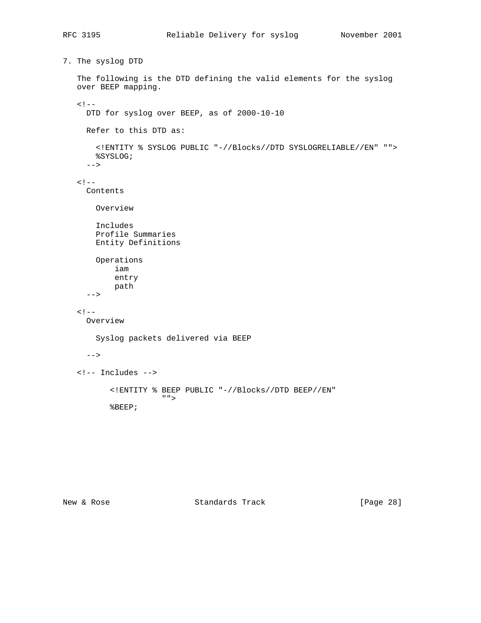```
7. The syslog DTD
    The following is the DTD defining the valid elements for the syslog
    over BEEP mapping.
   \lt! --
      DTD for syslog over BEEP, as of 2000-10-10
      Refer to this DTD as:
        <!ENTITY % SYSLOG PUBLIC "-//Blocks//DTD SYSLOGRELIABLE//EN" "">
       %SYSLOG;
      -->
   < ! - - 1 Contents
        Overview
        Includes
        Profile Summaries
        Entity Definitions
       Operations
            iam
            entry
           path
      -->
   \lt! --
      Overview
        Syslog packets delivered via BEEP
     --&> <!-- Includes -->
           <!ENTITY % BEEP PUBLIC "-//Blocks//DTD BEEP//EN"
                      " " %BEEP;
```
New & Rose Standards Track [Page 28]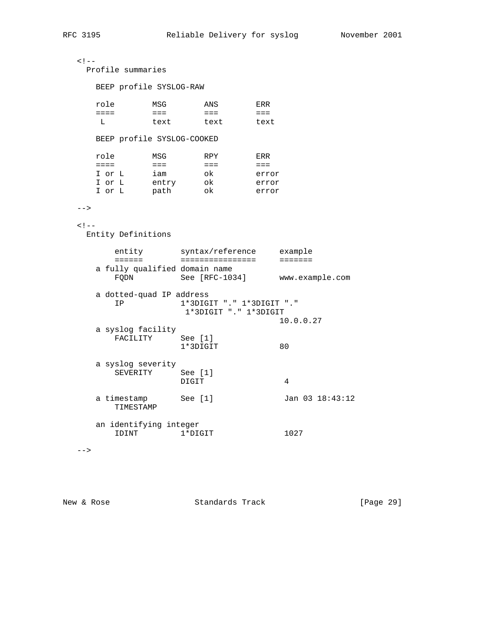```
< ! - - Profile summaries
     BEEP profile SYSLOG-RAW
     role MSG ANS ERR
     ==== === === ===
         text text text
     BEEP profile SYSLOG-COOKED
 role MSG RPY ERR
 ==== === === ===
 I or L iam ok error
 I or L entry ok error
 I or L path ok error
 --><! - Entity Definitions
 entity syntax/reference example
 ====== ================ =======
     a fully qualified domain name
      FQDN See [RFC-1034] www.example.com
     a dotted-quad IP address
       IP 1*3DIGIT "." 1*3DIGIT "."
                 1*3DIGIT "." 1*3DIGIT
                              10.0.0.27
     a syslog facility
       FACILITY See [1]
               1*3DIGIT 80
     a syslog severity
SEVERITY See [1]
 DIGIT 4
    a timestamp See [1] Jan 03 18:43:12
       TIMESTAMP
     an identifying integer
      IDINT 1*DIGIT 1027
 --&
```
New & Rose Standards Track [Page 29]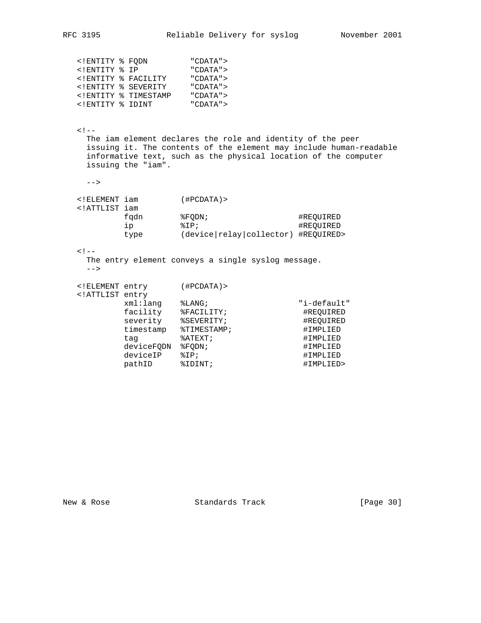| ENTITY % FODN</th <th></th> <th>"CDATA"&gt;</th>  |                                             | "CDATA"> |
|---------------------------------------------------|---------------------------------------------|----------|
| ENTITY % IP</td <td></td> <td>"CDATA"&gt;</td>    |                                             | "CDATA"> |
|                                                   | ENTITY % FACILITY</td <td>"CDATA"&gt;</td>  | "CDATA"> |
|                                                   | ENTITY % SEVERITY</td <td>"CDATA"&gt;</td>  | "CDATA"> |
|                                                   | ENTITY % TIMESTAMP</td <td>"CDATA"&gt;</td> | "CDATA"> |
| ENTITY % IDINT</td <td></td> <td>"CDATA"&gt;</td> |                                             | "CDATA"> |

 $\lt$  !  $---$  The iam element declares the role and identity of the peer issuing it. The contents of the element may include human-readable informative text, such as the physical location of the computer issuing the "iam".

-->

| ELEMENT iam</th <th></th> <th><math>(</math> #PCDATA<math>)</math> &gt;</th> <th></th> |      | $($ #PCDATA $)$ >                     |           |
|----------------------------------------------------------------------------------------|------|---------------------------------------|-----------|
| ATTLIST iam</td <td></td> <td></td> <td></td>                                          |      |                                       |           |
|                                                                                        | fadn | %FODN;                                | #REOUIRED |
|                                                                                        | Πp   | $&T$ P;                               | #REOUIRED |
|                                                                                        | type | $(device relay collector)$ #REQUIRED> |           |

### $<$  !  $--$

 The entry element conveys a single syslog message. -->

| ELEMENT entry</th <th></th> <th><math>(</math>#PCDATA<math>)</math> &gt;</th> <th></th> |            | $($ #PCDATA $)$ > |             |
|-----------------------------------------------------------------------------------------|------------|-------------------|-------------|
| ATTLIST entry</td <td></td> <td></td> <td></td>                                         |            |                   |             |
|                                                                                         | xml:lang   | $\S$ LANG;        | "i-default" |
|                                                                                         | facility   | %FACILITY;        | #REOUIRED   |
|                                                                                         | severity   | %SEVERITY;        | #REOUIRED   |
|                                                                                         | timestamp  | %TIMESTAMP;       | #IMPLIED    |
|                                                                                         | tag        | %ATEXT;           | #IMPLIED    |
|                                                                                         | deviceFQDN | %FODN;            | #IMPLIED    |
|                                                                                         | deviceIP   | $\SIP$            | #IMPLIED    |
|                                                                                         | pathID     | %IDINT;           | #IMPLIED>   |
|                                                                                         |            |                   |             |

New & Rose Standards Track [Page 30]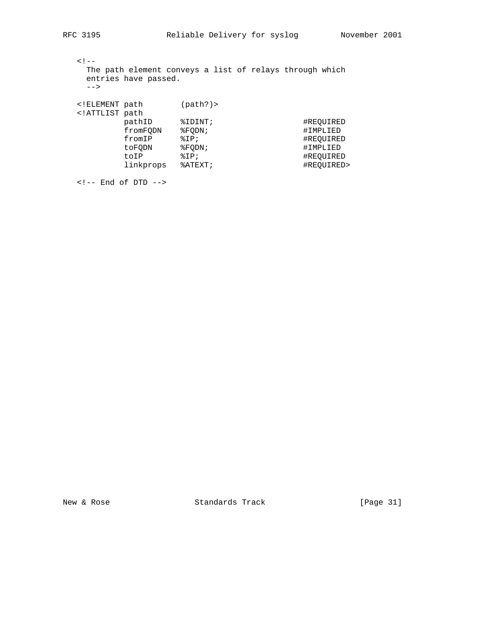| $--$                                                                  | entries have passed. | The path element conveys a list of relays through which |            |
|-----------------------------------------------------------------------|----------------------|---------------------------------------------------------|------------|
| ELEMENT path<br ATTLIST path</td <td></td> <td>(path?)</td> <td></td> |                      | (path?)                                                 |            |
|                                                                       | pathID               | \$IDINT;                                                | #REOUIRED  |
|                                                                       | fromFODN             | %FODN;                                                  | #IMPLIED   |
|                                                                       | fromIP               | $\SIP$                                                  | #REOUIRED  |
|                                                                       | toFODN               | %FODN;                                                  | #IMPLIED   |
|                                                                       | toIP                 | $\SIP$                                                  | #REOUIRED  |
|                                                                       | linkprops            | $\text{\texttt{A}TEXT}$                                 | #REOUIRED> |

New & Rose Standards Track [Page 31]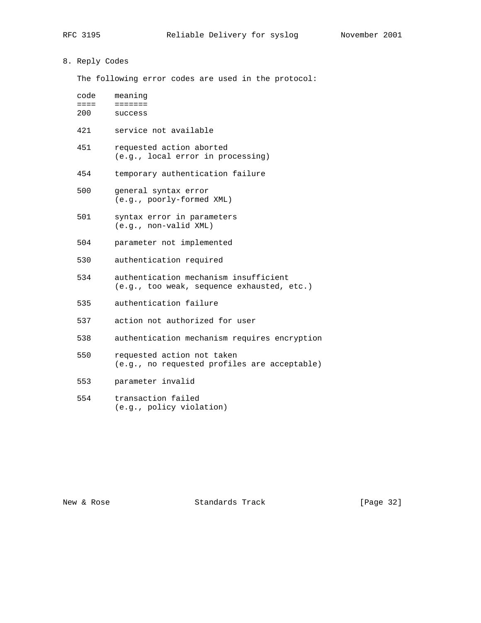## 8. Reply Codes

The following error codes are used in the protocol:

| code | meaning                                                       |
|------|---------------------------------------------------------------|
| 200  | success                                                       |
| 421  | service not available                                         |
| 451  | requested action aborted<br>(e.g., local error in processing) |
| 454  | temporary authentication failure                              |

- 500 general syntax error (e.g., poorly-formed XML)
- 501 syntax error in parameters (e.g., non-valid XML)
- 504 parameter not implemented
- 530 authentication required
- 534 authentication mechanism insufficient (e.g., too weak, sequence exhausted, etc.)
- 535 authentication failure
- 537 action not authorized for user
- 538 authentication mechanism requires encryption
- 550 requested action not taken (e.g., no requested profiles are acceptable)
- 553 parameter invalid
- 554 transaction failed (e.g., policy violation)

New & Rose Standards Track [Page 32]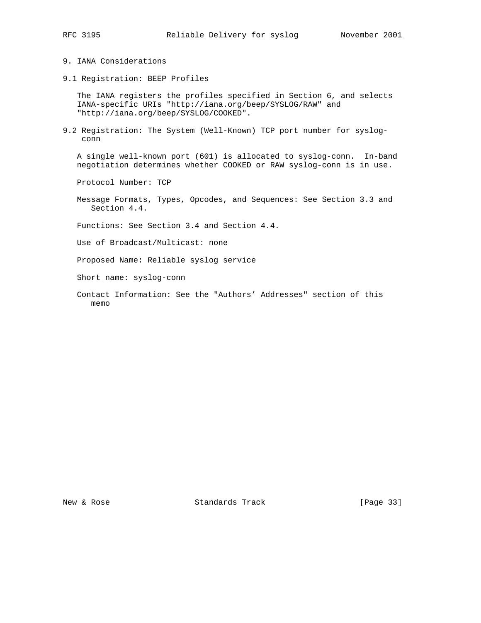- 
- 9. IANA Considerations
- 9.1 Registration: BEEP Profiles

 The IANA registers the profiles specified in Section 6, and selects IANA-specific URIs "http://iana.org/beep/SYSLOG/RAW" and "http://iana.org/beep/SYSLOG/COOKED".

9.2 Registration: The System (Well-Known) TCP port number for syslog conn

 A single well-known port (601) is allocated to syslog-conn. In-band negotiation determines whether COOKED or RAW syslog-conn is in use.

Protocol Number: TCP

 Message Formats, Types, Opcodes, and Sequences: See Section 3.3 and Section 4.4.

Functions: See Section 3.4 and Section 4.4.

Use of Broadcast/Multicast: none

Proposed Name: Reliable syslog service

Short name: syslog-conn

 Contact Information: See the "Authors' Addresses" section of this memo

New & Rose Standards Track [Page 33]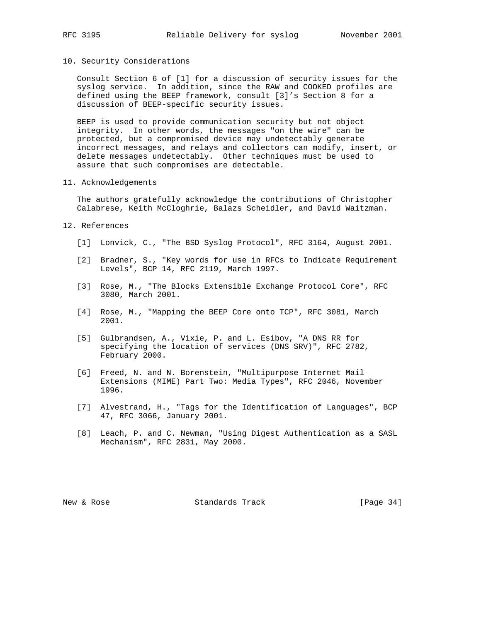## 10. Security Considerations

 Consult Section 6 of [1] for a discussion of security issues for the syslog service. In addition, since the RAW and COOKED profiles are defined using the BEEP framework, consult [3]'s Section 8 for a discussion of BEEP-specific security issues.

 BEEP is used to provide communication security but not object integrity. In other words, the messages "on the wire" can be protected, but a compromised device may undetectably generate incorrect messages, and relays and collectors can modify, insert, or delete messages undetectably. Other techniques must be used to assure that such compromises are detectable.

### 11. Acknowledgements

 The authors gratefully acknowledge the contributions of Christopher Calabrese, Keith McCloghrie, Balazs Scheidler, and David Waitzman.

### 12. References

- [1] Lonvick, C., "The BSD Syslog Protocol", RFC 3164, August 2001.
- [2] Bradner, S., "Key words for use in RFCs to Indicate Requirement Levels", BCP 14, RFC 2119, March 1997.
- [3] Rose, M., "The Blocks Extensible Exchange Protocol Core", RFC 3080, March 2001.
- [4] Rose, M., "Mapping the BEEP Core onto TCP", RFC 3081, March 2001.
- [5] Gulbrandsen, A., Vixie, P. and L. Esibov, "A DNS RR for specifying the location of services (DNS SRV)", RFC 2782, February 2000.
- [6] Freed, N. and N. Borenstein, "Multipurpose Internet Mail Extensions (MIME) Part Two: Media Types", RFC 2046, November 1996.
- [7] Alvestrand, H., "Tags for the Identification of Languages", BCP 47, RFC 3066, January 2001.
- [8] Leach, P. and C. Newman, "Using Digest Authentication as a SASL Mechanism", RFC 2831, May 2000.

New & Rose Standards Track [Page 34]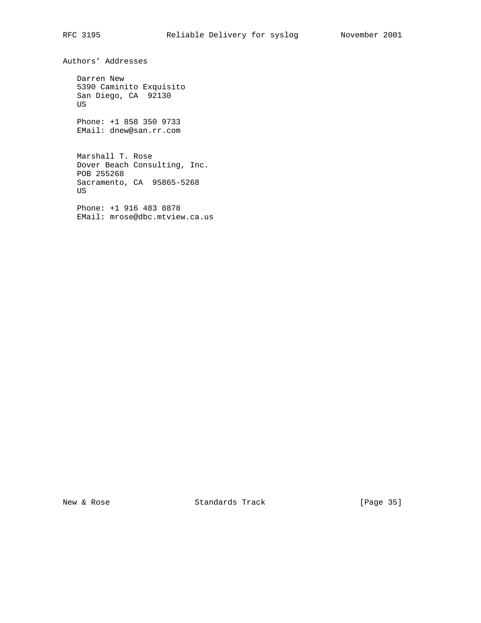Authors' Addresses

 Darren New 5390 Caminito Exquisito San Diego, CA 92130 US

 Phone: +1 858 350 9733 EMail: dnew@san.rr.com

 Marshall T. Rose Dover Beach Consulting, Inc. POB 255268 Sacramento, CA 95865-5268 US

 Phone: +1 916 483 8878 EMail: mrose@dbc.mtview.ca.us

New & Rose Standards Track [Page 35]